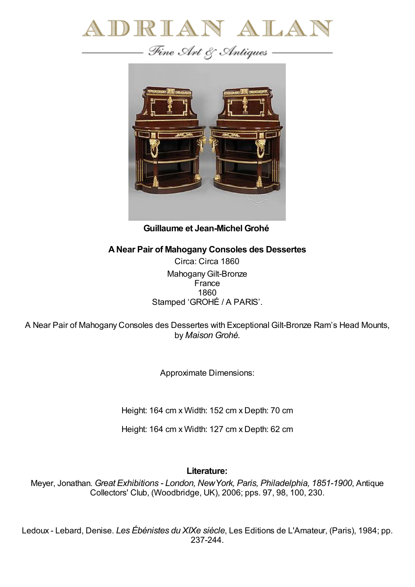



**Guillaume et Jean-Michel Grohé**

## **ANear Pair of Mahogany Consoles des Dessertes**

Circa: Circa 1860 Mahogany Gilt-Bronze **France** 1860 Stamped 'GROHÉ / A PARIS'.

A Near Pair of Mahogany Consoles des Dessertes with Exceptional Gilt-Bronze Ram's Head Mounts, by *Maison Grohé.*

Approximate Dimensions:

Height: 164 cm x Width: 152 cm x Depth: 70 cm

Height: 164 cm x Width: 127 cm x Depth: 62 cm

## **Literature:**

Meyer, Jonathan. *Great Exhibitions - London, NewYork, Paris, Philadelphia, 1851-1900*, Antique Collectors' Club, (Woodbridge, UK), 2006; pps. 97, 98, 100, 230.

Ledoux - Lebard, Denise. *Les Ébénistes du XIXe siècle*, Les Editions de L'Amateur, (Paris), 1984; pp. 237-244.